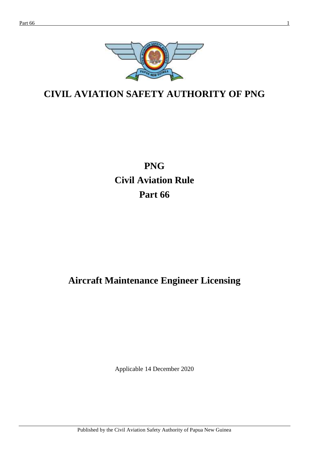

# **CIVIL AVIATION SAFETY AUTHORITY OF PNG**

# **PNG Civil Aviation Rule Part 66**

# **Aircraft Maintenance Engineer Licensing**

Applicable 14 December 2020

Published by the Civil Aviation Safety Authority of Papua New Guinea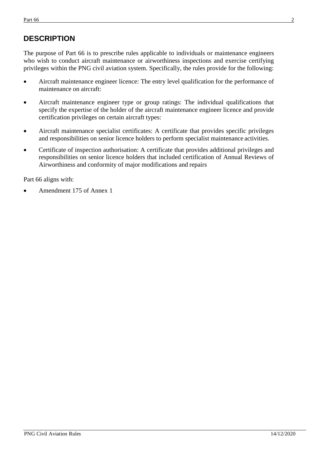# **DESCRIPTION**

The purpose of Part 66 is to prescribe rules applicable to individuals or maintenance engineers who wish to conduct aircraft maintenance or airworthiness inspections and exercise certifying privileges within the PNG civil aviation system. Specifically, the rules provide for the following:

- Aircraft maintenance engineer licence: The entry level qualification for the performance of maintenance on aircraft:
- Aircraft maintenance engineer type or group ratings: The individual qualifications that specify the expertise of the holder of the aircraft maintenance engineer licence and provide certification privileges on certain aircraft types:
- Aircraft maintenance specialist certificates: A certificate that provides specific privileges and responsibilities on senior licence holders to perform specialist maintenance activities.
- Certificate of inspection authorisation: A certificate that provides additional privileges and responsibilities on senior licence holders that included certification of Annual Reviews of Airworthiness and conformity of major modifications and repairs

Part 66 aligns with:

Amendment 175 of Annex 1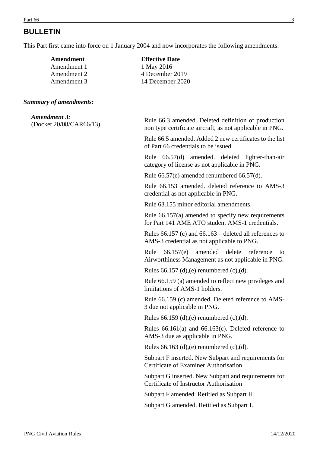# **BULLETIN**

This Part first came into force on 1 January 2004 and now incorporates the following amendments:

| Amendment   | <b>Effective Date</b> |
|-------------|-----------------------|
| Amendment 1 | 1 May 2016            |
| Amendment 2 | 4 December 2019       |
| Amendment 3 | 14 December 2020      |
|             |                       |

#### *Summary of amendments:*

| <b>Amendment 3:</b>     |  |
|-------------------------|--|
| (Docket 20/08/CAR66/13) |  |

Rule 66.3 amended. Deleted definition of production non type certificate aircraft, as not applicable in PNG.

Rule 66.5 amended. Added 2 new certificates to the list of Part 66 credentials to be issued.

Rule 66.57(d) amended. deleted lighter-than-air category of license as not applicable in PNG.

Rule 66.57(e) amended renumbered 66.57(d).

Rule 66.153 amended. deleted reference to AMS-3 credential as not applicable in PNG.

Rule 63.155 minor editorial amendments.

Rule 66.157(a) amended to specify new requirements for Part 141 AME ATO student AMS-1 credentials.

Rules 66.157 (c) and 66.163 – deleted all references to AMS-3 credential as not applicable to PNG.

Rule 66.157(e) amended delete reference to Airworthiness Management as not applicable in PNG.

Rules  $66.157$  (d),(e) renumbered (c),(d).

Rule 66.159 (a) amended to reflect new privileges and limitations of AMS-1 holders.

Rule 66.159 (c) amended. Deleted reference to AMS-3 due not applicable in PNG.

Rules  $66.159$  (d), (e) renumbered (c), (d).

Rules 66.161(a) and 66.163(c). Deleted reference to AMS-3 due as applicable in PNG.

Rules 66.163 (d), (e) renumbered  $(c)$ , (d).

Subpart F inserted. New Subpart and requirements for Certificate of Examiner Authorisation.

Subpart G inserted. New Subpart and requirements for Certificate of Instructor Authorisation

Subpart F amended. Retitled as Subpart H.

Subpart G amended. Retitled as Subpart I.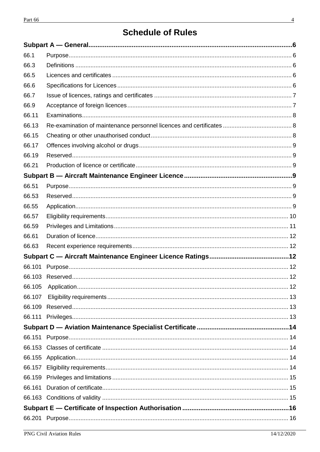# **Schedule of Rules**

| 66.1   |  |
|--------|--|
| 66.3   |  |
| 66.5   |  |
| 66.6   |  |
| 66.7   |  |
| 66.9   |  |
| 66.11  |  |
| 66.13  |  |
| 66.15  |  |
| 66.17  |  |
| 66.19  |  |
| 66.21  |  |
|        |  |
| 66.51  |  |
| 66.53  |  |
| 66.55  |  |
| 66.57  |  |
| 66.59  |  |
| 66.61  |  |
| 66.63  |  |
|        |  |
| 66.101 |  |
|        |  |
| 66.105 |  |
| 66.107 |  |
|        |  |
|        |  |
|        |  |
|        |  |
|        |  |
|        |  |
|        |  |
|        |  |
| 66.161 |  |
|        |  |
|        |  |
|        |  |
|        |  |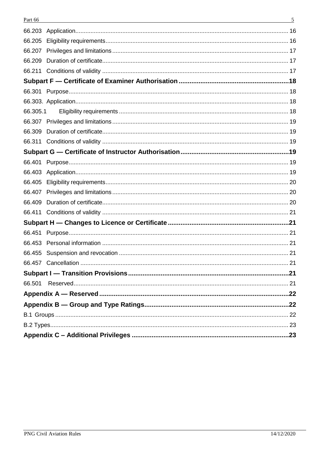| Part 66  | 5 |
|----------|---|
| 66.203   |   |
| 66.205   |   |
| 66.207   |   |
| 66.209   |   |
| 66.211   |   |
|          |   |
|          |   |
|          |   |
| 66.305.1 |   |
|          |   |
| 66.309   |   |
| 66.311   |   |
|          |   |
| 66.401   |   |
| 66.403   |   |
| 66.405   |   |
| 66.407   |   |
| 66.409   |   |
| 66.411   |   |
|          |   |
| 66.451   |   |
| 66.453   |   |
|          |   |
|          |   |
|          |   |
| 66.501   |   |
|          |   |
|          |   |
|          |   |
|          |   |
|          |   |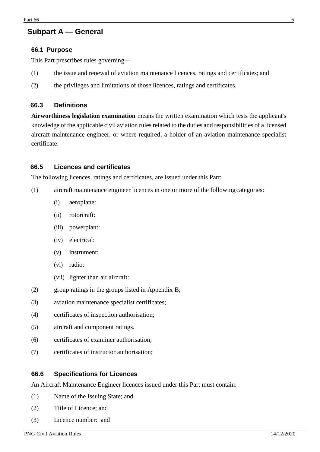# <span id="page-5-0"></span>**Subpart A — General**

#### <span id="page-5-1"></span>**66.1 Purpose**

This Part prescribes rules governing—

- (1) the issue and renewal of aviation maintenance licences, ratings and certificates; and
- (2) the privileges and limitations of those licences, ratings and certificates.

#### <span id="page-5-2"></span>**66.3 Definitions**

**Airworthiness legislation examination** means the written examination which tests the applicant's knowledge of the applicable civil aviation rules related to the duties and responsibilities of a licensed aircraft maintenance engineer, or where required, a holder of an aviation maintenance specialist certificate.

#### <span id="page-5-3"></span>**66.5 Licences and certificates**

The following licences, ratings and certificates, are issued under this Part:

- (1) aircraft maintenance engineer licences in one or more of the followingcategories:
	- (i) aeroplane:
	- (ii) rotorcraft:
	- (iii) powerplant:
	- (iv) electrical:
	- (v) instrument:
	- (vi) radio:
	- (vii) lighter than air aircraft:
- (2) group ratings in the groups listed in Appendix B;
- (3) aviation maintenance specialist certificates;
- (4) certificates of inspection authorisation;
- (5) aircraft and component ratings.
- (6) certificates of examiner authorisation;
- (7) certificates of instructor authorisation;

#### <span id="page-5-4"></span>**66.6 Specifications for Licences**

An Aircraft Maintenance Engineer licences issued under this Part must contain:

- (1) Name of the Issuing State; and
- (2) Title of Licence; and
- (3) Licence number: and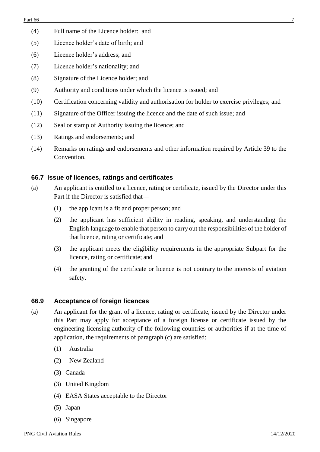- (4) Full name of the Licence holder: and
- (5) Licence holder's date of birth; and
- (6) Licence holder's address; and
- (7) Licence holder's nationality; and
- (8) Signature of the Licence holder; and
- (9) Authority and conditions under which the licence is issued; and
- (10) Certification concerning validity and authorisation for holder to exercise privileges; and
- (11) Signature of the Officer issuing the licence and the date of such issue; and
- (12) Seal or stamp of Authority issuing the licence; and
- (13) Ratings and endorsements; and
- (14) Remarks on ratings and endorsements and other information required by Article 39 to the Convention.

## <span id="page-6-0"></span>**66.7 Issue of licences, ratings and certificates**

- (a) An applicant is entitled to a licence, rating or certificate, issued by the Director under this Part if the Director is satisfied that—
	- (1) the applicant is a fit and proper person; and
	- (2) the applicant has sufficient ability in reading, speaking, and understanding the English language to enable that person to carry out the responsibilities of the holder of that licence, rating or certificate; and
	- (3) the applicant meets the eligibility requirements in the appropriate Subpart for the licence, rating or certificate; and
	- (4) the granting of the certificate or licence is not contrary to the interests of aviation safety.

# <span id="page-6-1"></span>**66.9 Acceptance of foreign licences**

- (a) An applicant for the grant of a licence, rating or certificate, issued by the Director under this Part may apply for acceptance of a foreign license or certificate issued by the engineering licensing authority of the following countries or authorities if at the time of application, the requirements of paragraph (c) are satisfied:
	- (1) Australia
	- (2) New Zealand
	- (3) Canada
	- (3) United Kingdom
	- (4) EASA States acceptable to the Director
	- (5) Japan
	- (6) Singapore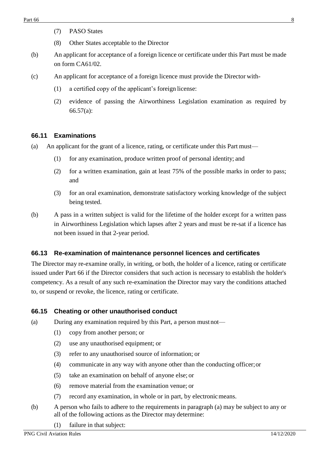- (7) PASO States
- (8) Other States acceptable to the Director
- (b) An applicant for acceptance of a foreign licence or certificate under this Part must be made on form CA61/02.
- (c) An applicant for acceptance of a foreign licence must provide the Director with-
	- (1) a certified copy of the applicant's foreign license:
	- (2) evidence of passing the Airworthiness Legislation examination as required by 66.57(a):

#### <span id="page-7-0"></span>**66.11 Examinations**

- (a) An applicant for the grant of a licence, rating, or certificate under this Part must—
	- (1) for any examination, produce written proof of personal identity; and
	- (2) for a written examination, gain at least 75% of the possible marks in order to pass; and
	- (3) for an oral examination, demonstrate satisfactory working knowledge of the subject being tested.
- (b) A pass in a written subject is valid for the lifetime of the holder except for a written pass in Airworthiness Legislation which lapses after 2 years and must be re-sat if a licence has not been issued in that 2-year period.

#### <span id="page-7-1"></span>**66.13 Re-examination of maintenance personnel licences and certificates**

The Director may re-examine orally, in writing, or both, the holder of a licence, rating or certificate issued under Part 66 if the Director considers that such action is necessary to establish the holder's competency. As a result of any such re-examination the Director may vary the conditions attached to, or suspend or revoke, the licence, rating or certificate.

#### <span id="page-7-2"></span>**66.15 Cheating or other unauthorised conduct**

(a) During any examination required by this Part, a person must not—

- (1) copy from another person; or
- (2) use any unauthorised equipment; or
- (3) refer to any unauthorised source of information; or
- (4) communicate in any way with anyone other than the conducting officer;or
- (5) take an examination on behalf of anyone else; or
- (6) remove material from the examination venue; or
- (7) record any examination, in whole or in part, by electronicmeans.
- (b) A person who fails to adhere to the requirements in paragraph (a) may be subject to any or all of the following actions as the Director may determine:
	- (1) failure in that subject: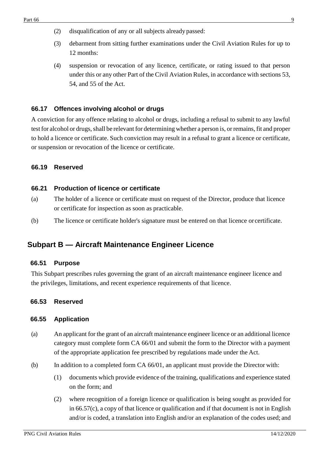- (2) disqualification of any or all subjects already passed:
- (3) debarment from sitting further examinations under the Civil Aviation Rules for up to 12 months:
- (4) suspension or revocation of any licence, certificate, or rating issued to that person under this or any other Part of the Civil Aviation Rules, in accordance with sections 53, 54, and 55 of the Act.

## <span id="page-8-0"></span>**66.17 Offences involving alcohol or drugs**

A conviction for any offence relating to alcohol or drugs, including a refusal to submit to any lawful test for alcohol or drugs, shall be relevant for determining whether a person is, or remains, fit and proper to hold a licence or certificate. Such conviction may result in a refusal to grant a licence or certificate, or suspension or revocation of the licence or certificate.

#### <span id="page-8-1"></span>**66.19 Reserved**

#### <span id="page-8-2"></span>**66.21 Production of licence or certificate**

- (a) The holder of a licence or certificate must on request of the Director, produce that licence or certificate for inspection as soon as practicable.
- (b) The licence or certificate holder's signature must be entered on that licence orcertificate.

# <span id="page-8-3"></span>**Subpart B — Aircraft Maintenance Engineer Licence**

#### <span id="page-8-4"></span>**66.51 Purpose**

This Subpart prescribes rules governing the grant of an aircraft maintenance engineer licence and the privileges, limitations, and recent experience requirements of that licence.

#### <span id="page-8-5"></span>**66.53 Reserved**

#### <span id="page-8-6"></span>**66.55 Application**

- (a) An applicant for the grant of an aircraft maintenance engineer licence or an additional licence category must complete form CA 66/01 and submit the form to the Director with a payment of the appropriate application fee prescribed by regulations made under the Act.
- (b) In addition to a completed form CA 66/01, an applicant must provide the Director with:
	- (1) documents which provide evidence of the training, qualifications and experience stated on the form; and
	- (2) where recognition of a foreign licence or qualification is being sought as provided for in 66.57(c), a copy of that licence or qualification and if that document is not in English and/or is coded, a translation into English and/or an explanation of the codes used; and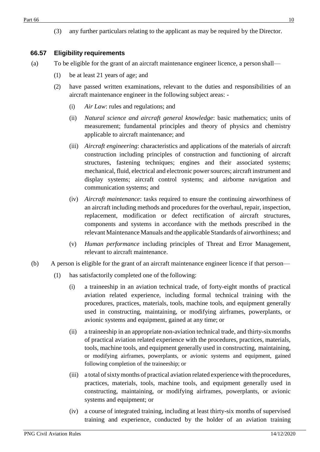(3) any further particulars relating to the applicant as may be required by the Director.

# <span id="page-9-0"></span>**66.57 Eligibility requirements**

- (a) To be eligible for the grant of an aircraft maintenance engineer licence, a person shall—
	- (1) be at least 21 years of age; and
	- (2) have passed written examinations, relevant to the duties and responsibilities of an aircraft maintenance engineer in the following subject areas: -
		- (i) *Air Law*: rules and regulations; and
		- (ii) *Natural science and aircraft general knowledge*: basic mathematics; units of measurement; fundamental principles and theory of physics and chemistry applicable to aircraft maintenance; and
		- (iii) *Aircraft engineering*: characteristics and applications of the materials of aircraft construction including principles of construction and functioning of aircraft structures, fastening techniques; engines and their associated systems; mechanical, fluid, electrical and electronic powersources; aircraft instrument and display systems; aircraft control systems; and airborne navigation and communication systems; and
		- (iv) *Aircraft maintenance*: tasks required to ensure the continuing airworthiness of an aircraft including methods and procedures for the overhaul, repair, inspection, replacement, modification or defect rectification of aircraft structures, components and systems in accordance with the methods prescribed in the relevant Maintenance Manuals and the applicable Standards of airworthiness; and
		- (v) *Human performance* including principles of Threat and Error Management, relevant to aircraft maintenance.
- (b) A person is eligible for the grant of an aircraft maintenance engineer licence if that person—
	- (1) has satisfactorily completed one of the following:
		- (i) a traineeship in an aviation technical trade, of forty-eight months of practical aviation related experience, including formal technical training with the procedures, practices, materials, tools, machine tools, and equipment generally used in constructing, maintaining, or modifying airframes, powerplants, or avionic systems and equipment, gained at any time; or
		- (ii) a traineeship in an appropriate non-aviation technical trade, and thirty-sixmonths of practical aviation related experience with the procedures, practices, materials, tools, machine tools, and equipment generally used in constructing, maintaining, or modifying airframes, powerplants, or avionic systems and equipment, gained following completion of the traineeship; or
		- (iii) a total ofsixtymonths of practical aviation related experience with theprocedures, practices, materials, tools, machine tools, and equipment generally used in constructing, maintaining, or modifying airframes, powerplants, or avionic systems and equipment; or
		- (iv) a course of integrated training, including at least thirty-six months of supervised training and experience, conducted by the holder of an aviation training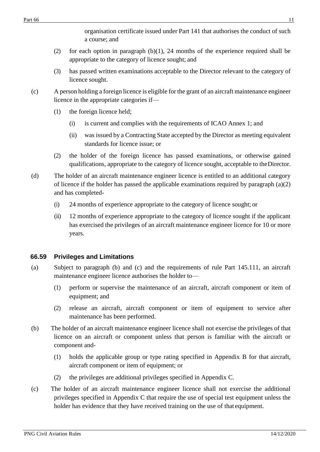organisation certificate issued under Part 141 that authorises the conduct of such a course; and

- (2) for each option in paragraph (b)(1), 24 months of the experience required shall be appropriate to the category of licence sought; and
- (3) has passed written examinations acceptable to the Director relevant to the category of licence sought.
- (c) A person holding a foreign licence is eligible for the grant of an aircraft maintenance engineer licence in the appropriate categories if—
	- (1) the foreign licence held;
		- (i) is current and complies with the requirements of ICAO Annex 1; and
		- (ii) was issued by a Contracting State accepted by the Director as meeting equivalent standards for licence issue; or
	- (2) the holder of the foreign licence has passed examinations, or otherwise gained qualifications, appropriate to the category of licence sought, acceptable to theDirector.
- (d) The holder of an aircraft maintenance engineer licence is entitled to an additional category of licence if the holder has passed the applicable examinations required by paragraph (a)(2) and has completed-
	- (i) 24 months of experience appropriate to the category of licence sought; or
	- (ii) 12 months of experience appropriate to the category of licence sought if the applicant has exercised the privileges of an aircraft maintenance engineer licence for 10 or more years.

# <span id="page-10-0"></span>**66.59 Privileges and Limitations**

- (a) Subject to paragraph (b) and (c) and the requirements of rule Part 145.111, an aircraft maintenance engineer licence authorises the holder to—
	- (1) perform or supervise the maintenance of an aircraft, aircraft component or item of equipment; and
	- (2) release an aircraft, aircraft component or item of equipment to service after maintenance has been performed.
- (b) The holder of an aircraft maintenance engineer licence shall not exercise the privileges of that licence on an aircraft or component unless that person is familiar with the aircraft or component and-
	- (1) holds the applicable group or type rating specified in Appendix B for that aircraft, aircraft component or item of equipment; or
	- (2) the privileges are additional privileges specified in Appendix C.
- (c) The holder of an aircraft maintenance engineer licence shall not exercise the additional privileges specified in Appendix C that require the use of special test equipment unless the holder has evidence that they have received training on the use of that equipment.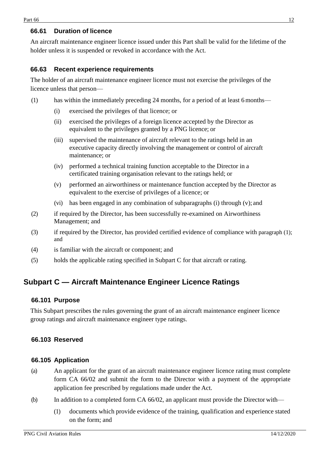## <span id="page-11-0"></span>**66.61 Duration of licence**

An aircraft maintenance engineer licence issued under this Part shall be valid for the lifetime of the holder unless it is suspended or revoked in accordance with the Act.

## <span id="page-11-1"></span>**66.63 Recent experience requirements**

The holder of an aircraft maintenance engineer licence must not exercise the privileges of the licence unless that person—

- (1) has within the immediately preceding 24 months, for a period of at least 6months—
	- (i) exercised the privileges of that licence; or
	- (ii) exercised the privileges of a foreign licence accepted by the Director as equivalent to the privileges granted by a PNG licence; or
	- (iii) supervised the maintenance of aircraft relevant to the ratings held in an executive capacity directly involving the management or control of aircraft maintenance; or
	- (iv) performed a technical training function acceptable to the Director in a certificated training organisation relevant to the ratings held; or
	- (v) performed an airworthiness or maintenance function accepted by the Director as equivalent to the exercise of privileges of a licence; or
	- (vi) has been engaged in any combination of subparagraphs (i) through (v); and
- (2) if required by the Director, has been successfully re-examined on Airworthiness Management; and
- (3) if required by the Director, has provided certified evidence of compliance with paragraph (1); and
- (4) is familiar with the aircraft or component; and
- (5) holds the applicable rating specified in Subpart C for that aircraft or rating.

# <span id="page-11-2"></span>**Subpart C — Aircraft Maintenance Engineer Licence Ratings**

#### <span id="page-11-3"></span>**66.101 Purpose**

This Subpart prescribes the rules governing the grant of an aircraft maintenance engineer licence group ratings and aircraft maintenance engineer type ratings.

# <span id="page-11-4"></span>**66.103 Reserved**

#### <span id="page-11-5"></span>**66.105 Application**

- (a) An applicant for the grant of an aircraft maintenance engineer licence rating must complete form CA 66/02 and submit the form to the Director with a payment of the appropriate application fee prescribed by regulations made under the Act.
- (b) In addition to a completed form CA 66/02, an applicant must provide the Director with—
	- (1) documents which provide evidence of the training, qualification and experience stated on the form; and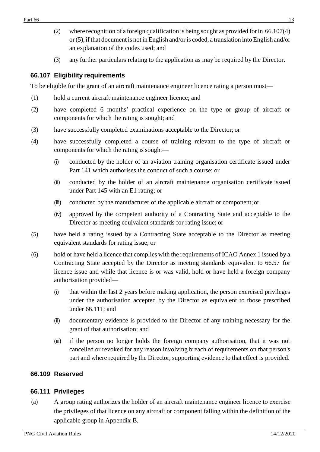- (2) where recognition of a foreign qualification is being sought as provided forin 66.107(4) or(5), ifthat document is not in English and/oris coded, a translation into English and/or an explanation of the codes used; and
- (3) any further particulars relating to the application as may be required by the Director.

# <span id="page-12-0"></span>**66.107 Eligibility requirements**

To be eligible for the grant of an aircraft maintenance engineer licence rating a person must—

- (1) hold a current aircraft maintenance engineer licence; and
- (2) have completed 6 months' practical experience on the type or group of aircraft or components for which the rating is sought; and
- (3) have successfully completed examinations acceptable to the Director; or
- (4) have successfully completed a course of training relevant to the type of aircraft or components for which the rating is sought—
	- (i) conducted by the holder of an aviation training organisation certificate issued under Part 141 which authorises the conduct of such a course; or
	- (ii) conducted by the holder of an aircraft maintenance organisation certificate issued under Part 145 with an E1 rating; or
	- (iii) conducted by the manufacturer of the applicable aircraft or component; or
	- (iv) approved by the competent authority of a Contracting State and acceptable to the Director as meeting equivalent standards for rating issue; or
- (5) have held a rating issued by a Contracting State acceptable to the Director as meeting equivalent standards for rating issue; or
- (6) hold or have held a licence that complies with the requirements of ICAO Annex 1 issued by a Contracting State accepted by the Director as meeting standards equivalent to 66.57 for licence issue and while that licence is or was valid, hold or have held a foreign company authorisation provided—
	- (i) that within the last 2 years before making application, the person exercised privileges under the authorisation accepted by the Director as equivalent to those prescribed under 66.111; and
	- (ii) documentary evidence is provided to the Director of any training necessary for the grant of that authorisation; and
	- (iii) if the person no longer holds the foreign company authorisation, that it was not cancelled or revoked for any reason involving breach of requirements on that person's part and where required by the Director, supporting evidence to that effect is provided.

#### <span id="page-12-1"></span>**66.109 Reserved**

#### <span id="page-12-2"></span>**66.111 Privileges**

(a) A group rating authorizes the holder of an aircraft maintenance engineer licence to exercise the privileges of that licence on any aircraft or component falling within the definition of the applicable group in Appendix B.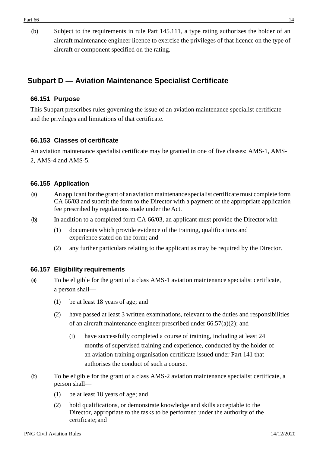(b) Subject to the requirements in rule Part 145.111, a type rating authorizes the holder of an aircraft maintenance engineer licence to exercise the privileges of that licence on the type of aircraft or component specified on the rating.

# <span id="page-13-0"></span>**Subpart D — Aviation Maintenance Specialist Certificate**

## <span id="page-13-1"></span>**66.151 Purpose**

This Subpart prescribes rules governing the issue of an aviation maintenance specialist certificate and the privileges and limitations of that certificate.

## <span id="page-13-2"></span>**66.153 Classes of certificate**

An aviation maintenance specialist certificate may be granted in one of five classes: AMS-1, AMS-2, AMS-4 and AMS-5.

## <span id="page-13-3"></span>**66.155 Application**

- (a) An applicant forthe grant of an aviation maintenance specialist certificate must complete form CA 66/03 and submit the form to the Director with a payment of the appropriate application fee prescribed by regulations made under the Act.
- (b) In addition to a completed form CA 66/03, an applicant must provide the Director with—
	- (1) documents which provide evidence of the training, qualifications and experience stated on the form; and
	- (2) any further particulars relating to the applicant as may be required by the Director.

# <span id="page-13-4"></span>**66.157 Eligibility requirements**

- (a) To be eligible for the grant of a class AMS-1 aviation maintenance specialist certificate, a person shall—
	- (1) be at least 18 years of age; and
	- (2) have passed at least 3 written examinations, relevant to the duties and responsibilities of an aircraft maintenance engineer prescribed under 66.57(a)(2); and
		- (i) have successfully completed a course of training, including at least 24 months of supervised training and experience, conducted by the holder of an aviation training organisation certificate issued under Part 141 that authorises the conduct of such a course.
- (b) To be eligible for the grant of a class AMS-2 aviation maintenance specialist certificate, a person shall—
	- (1) be at least 18 years of age; and
	- (2) hold qualifications, or demonstrate knowledge and skills acceptable to the Director, appropriate to the tasks to be performed under the authority of the certificate; and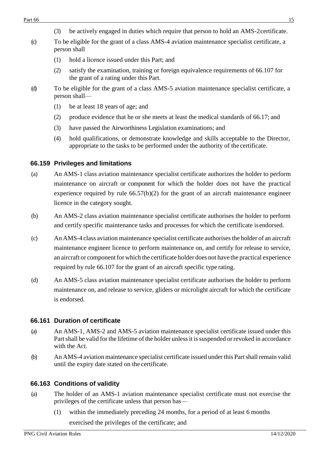- (3) be actively engaged in duties which require that person to hold an AMS-2certificate.
- (c) To be eligible for the grant of a class AMS-4 aviation maintenance specialist certificate, a person shall
	- (1) hold a licence issued under this Part; and
	- (2) satisfy the examination, training or foreign equivalence requirements of 66.107 for the grant of a rating under this Part.
- (d) To be eligible for the grant of a class AMS-5 aviation maintenance specialist certificate, a person shall—
	- (1) be at least 18 years of age; and
	- (2) produce evidence that he or she meets at least the medical standards of 66.17; and
	- (3) have passed the Airworthiness Legislation examinations; and
	- (4) hold qualifications, or demonstrate knowledge and skills acceptable to the Director, appropriate to the tasks to be performed under the authority of the certificate.

## <span id="page-14-0"></span>**66.159 Privileges and limitations**

- (a) An AMS-1 class aviation maintenance specialist certificate authorizes the holder to perform maintenance on aircraft or component for which the holder does not have the practical experience required by rule 66.57(b)(2) for the grant of an aircraft maintenance engineer licence in the category sought.
- (b) An AMS-2 class aviation maintenance specialist certificate authorises the holder to perform and certify specific maintenance tasks and processes for which the certificate isendorsed.
- (c) An AMS-4 class aviation maintenance specialist certificate authorisesthe holder of an aircraft maintenance engineer licence to perform maintenance on, and certify for release to service, an aircraft or component for which the certificate holder does not have the practical experience required by rule 66.107 for the grant of an aircraft specific type rating.
- (d) An AMS-5 class aviation maintenance specialist certificate authorises the holder to perform maintenance on, and release to service, gliders or microlight aircraft for which the certificate is endorsed.

# <span id="page-14-1"></span>**66.161 Duration of certificate**

- (a) An AMS-1, AMS-2 and AMS-5 aviation maintenance specialist certificate issued under this Part shall be valid for the lifetime of the holder unless it is suspended or revoked in accordance with the Act.
- (b) An AMS-4 aviation maintenance specialist certificate issued under this Partshall remain valid until the expiry date stated on the certificate.

# <span id="page-14-2"></span>**66.163 Conditions of validity**

- (a) The holder of an AMS-1 aviation maintenance specialist certificate must not exercise the privileges of the certificate unless that person has—
	- (1) within the immediately preceding 24 months, for a period of at least 6 months exercised the privileges of the certificate; and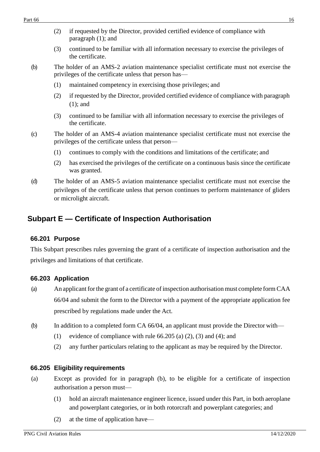- (2) if requested by the Director, provided certified evidence of compliance with paragraph (1); and
- (3) continued to be familiar with all information necessary to exercise the privileges of the certificate.
- (b) The holder of an AMS-2 aviation maintenance specialist certificate must not exercise the privileges of the certificate unless that person has—
	- (1) maintained competency in exercising those privileges; and
	- (2) if requested by the Director, provided certified evidence of compliance with paragraph (1); and
	- (3) continued to be familiar with all information necessary to exercise the privileges of the certificate.
- (c) The holder of an AMS-4 aviation maintenance specialist certificate must not exercise the privileges of the certificate unless that person—
	- (1) continues to comply with the conditions and limitations of the certificate; and
	- (2) has exercised the privileges of the certificate on a continuous basis since the certificate was granted.
- (d) The holder of an AMS-5 aviation maintenance specialist certificate must not exercise the privileges of the certificate unless that person continues to perform maintenance of gliders or microlight aircraft.

# <span id="page-15-0"></span>**Subpart E — Certificate of Inspection Authorisation**

#### <span id="page-15-1"></span>**66.201 Purpose**

This Subpart prescribes rules governing the grant of a certificate of inspection authorisation and the privileges and limitations of that certificate.

# <span id="page-15-2"></span>**66.203 Application**

- (a) An applicant for the grant of a certificate of inspection authorisation must complete form CAA 66/04 and submit the form to the Director with a payment of the appropriate application fee prescribed by regulations made under the Act.
- (b) In addition to a completed form CA 66/04, an applicant must provide the Director with—
	- (1) evidence of compliance with rule 66.205 (a) (2), (3) and (4); and
	- (2) any further particulars relating to the applicant as may be required by the Director.

# <span id="page-15-3"></span>**66.205 Eligibility requirements**

- (a) Except as provided for in paragraph (b), to be eligible for a certificate of inspection authorisation a person must—
	- (1) hold an aircraft maintenance engineer licence, issued under this Part, in both aeroplane and powerplant categories, or in both rotorcraft and powerplant categories; and
	- (2) at the time of application have—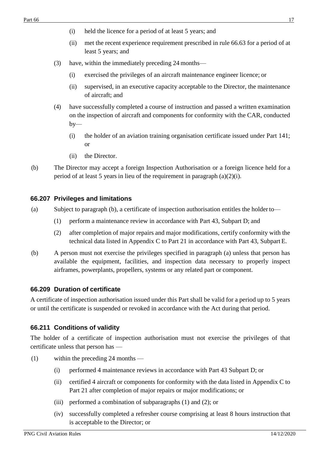- (i) held the licence for a period of at least 5 years; and
- (ii) met the recent experience requirement prescribed in rule 66.63 for a period of at least 5 years; and
- (3) have, within the immediately preceding 24 months—
	- (i) exercised the privileges of an aircraft maintenance engineer licence; or
	- (ii) supervised, in an executive capacity acceptable to the Director, the maintenance of aircraft; and
- (4) have successfully completed a course of instruction and passed a written examination on the inspection of aircraft and components for conformity with the CAR, conducted  $by-$ 
	- (i) the holder of an aviation training organisation certificate issued under Part 141; or
	- (ii) the Director.
- (b) The Director may accept a foreign Inspection Authorisation or a foreign licence held for a period of at least 5 years in lieu of the requirement in paragraph (a)(2)(i).

#### <span id="page-16-0"></span>**66.207 Privileges and limitations**

- (a) Subject to paragraph (b), a certificate of inspection authorisation entitles the holderto—
	- (1) perform a maintenance review in accordance with Part 43, Subpart D; and
	- (2) after completion of major repairs and major modifications, certify conformity with the technical data listed in Appendix C to Part 21 in accordance with Part 43, Subpart E.
- (b) A person must not exercise the privileges specified in paragraph (a) unless that person has available the equipment, facilities, and inspection data necessary to properly inspect airframes, powerplants, propellers, systems or any related part or component.

# <span id="page-16-1"></span>**66.209 Duration of certificate**

A certificate of inspection authorisation issued under this Part shall be valid for a period up to 5 years or until the certificate is suspended or revoked in accordance with the Act during that period.

# <span id="page-16-2"></span>**66.211 Conditions of validity**

The holder of a certificate of inspection authorisation must not exercise the privileges of that certificate unless that person has —

- (1) within the preceding 24 months
	- (i) performed 4 maintenance reviews in accordance with Part 43 Subpart D; or
	- (ii) certified 4 aircraft or components for conformity with the data listed in Appendix C to Part 21 after completion of major repairs or major modifications; or
	- (iii) performed a combination of subparagraphs (1) and (2); or
	- (iv) successfully completed a refresher course comprising at least 8 hours instruction that is acceptable to the Director; or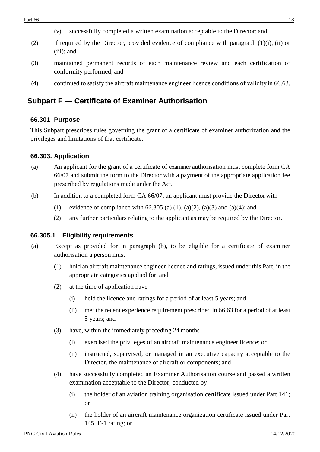- (v) successfully completed a written examination acceptable to the Director; and
- (2) if required by the Director, provided evidence of compliance with paragraph (1)(i), (ii) or (iii); and
- (3) maintained permanent records of each maintenance review and each certification of conformity performed; and
- (4) continued to satisfy the aircraft maintenance engineer licence conditions of validity in 66.63.

# <span id="page-17-0"></span>**Subpart F — Certificate of Examiner Authorisation**

# <span id="page-17-1"></span>**66.301 Purpose**

This Subpart prescribes rules governing the grant of a certificate of examiner authorization and the privileges and limitations of that certificate.

## <span id="page-17-2"></span>**66.303. Application**

- (a) An applicant for the grant of a certificate of examiner authorisation must complete form CA 66/07 and submit the form to the Director with a payment of the appropriate application fee prescribed by regulations made under the Act.
- (b) In addition to a completed form CA 66/07, an applicant must provide the Director with
	- (1) evidence of compliance with 66.305 (a) (1), (a)(2), (a)(3) and (a)(4); and
	- (2) any further particulars relating to the applicant as may be required by the Director.

#### <span id="page-17-3"></span>**66.305.1 Eligibility requirements**

- (a) Except as provided for in paragraph (b), to be eligible for a certificate of examiner authorisation a person must
	- (1) hold an aircraft maintenance engineer licence and ratings, issued under this Part, in the appropriate categories applied for; and
	- (2) at the time of application have
		- (i) held the licence and ratings for a period of at least 5 years; and
		- (ii) met the recent experience requirement prescribed in 66.63 for a period of at least 5 years; and
	- (3) have, within the immediately preceding 24 months—
		- (i) exercised the privileges of an aircraft maintenance engineer licence; or
		- (ii) instructed, supervised, or managed in an executive capacity acceptable to the Director, the maintenance of aircraft or components; and
	- (4) have successfully completed an Examiner Authorisation course and passed a written examination acceptable to the Director, conducted by
		- (i) the holder of an aviation training organisation certificate issued under Part 141; or
		- (ii) the holder of an aircraft maintenance organization certificate issued under Part 145, E-1 rating; or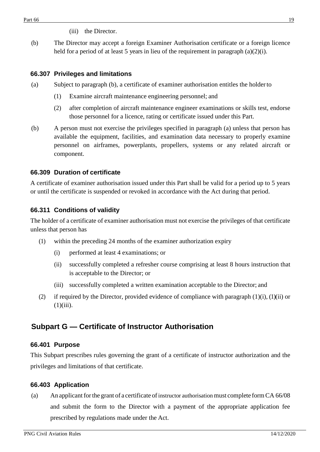- (iii) the Director.
- (b) The Director may accept a foreign Examiner Authorisation certificate or a foreign licence held for a period of at least 5 years in lieu of the requirement in paragraph  $(a)(2)(i)$ .

#### <span id="page-18-0"></span>**66.307 Privileges and limitations**

- (a) Subject to paragraph (b), a certificate of examiner authorisation entitles the holderto
	- (1) Examine aircraft maintenance engineering personnel; and
	- (2) after completion of aircraft maintenance engineer examinations or skills test, endorse those personnel for a licence, rating or certificate issued under this Part.
- (b) A person must not exercise the privileges specified in paragraph (a) unless that person has available the equipment, facilities, and examination data necessary to properly examine personnel on airframes, powerplants, propellers, systems or any related aircraft or component.

#### <span id="page-18-1"></span>**66.309 Duration of certificate**

A certificate of examiner authorisation issued under this Part shall be valid for a period up to 5 years or until the certificate is suspended or revoked in accordance with the Act during that period.

#### <span id="page-18-2"></span>**66.311 Conditions of validity**

The holder of a certificate of examiner authorisation must not exercise the privileges of that certificate unless that person has

- (1) within the preceding 24 months of the examiner authorization expiry
	- (i) performed at least 4 examinations; or
	- (ii) successfully completed a refresher course comprising at least 8 hours instruction that is acceptable to the Director; or
	- (iii) successfully completed a written examination acceptable to the Director; and
- (2) if required by the Director, provided evidence of compliance with paragraph  $(1)(i)$ ,  $(1)(ii)$  or  $(1)(iii)$ .

# <span id="page-18-3"></span>**Subpart G — Certificate of Instructor Authorisation**

#### <span id="page-18-4"></span>**66.401 Purpose**

This Subpart prescribes rules governing the grant of a certificate of instructor authorization and the privileges and limitations of that certificate.

#### <span id="page-18-5"></span>**66.403 Application**

(a) An applicant for the grant of a certificate of instructor authorisation must complete form  $CA\,66/08$ and submit the form to the Director with a payment of the appropriate application fee prescribed by regulations made under the Act.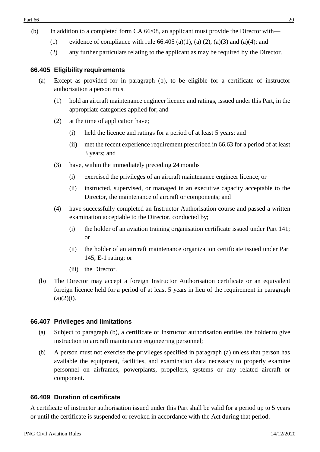- (b) In addition to a completed form CA 66/08, an applicant must provide the Director with—
	- (1) evidence of compliance with rule  $66.405$  (a)(1), (a) (2), (a)(3) and (a)(4); and
	- (2) any further particulars relating to the applicant as may be required by the Director.

# <span id="page-19-0"></span>**66.405 Eligibility requirements**

- (a) Except as provided for in paragraph (b), to be eligible for a certificate of instructor authorisation a person must
	- (1) hold an aircraft maintenance engineer licence and ratings, issued under this Part, in the appropriate categories applied for; and
	- (2) at the time of application have;
		- (i) held the licence and ratings for a period of at least 5 years; and
		- (ii) met the recent experience requirement prescribed in 66.63 for a period of at least 3 years; and
	- (3) have, within the immediately preceding 24 months
		- (i) exercised the privileges of an aircraft maintenance engineer licence; or
		- (ii) instructed, supervised, or managed in an executive capacity acceptable to the Director, the maintenance of aircraft or components; and
	- (4) have successfully completed an Instructor Authorisation course and passed a written examination acceptable to the Director, conducted by;
		- (i) the holder of an aviation training organisation certificate issued under Part 141; or
		- (ii) the holder of an aircraft maintenance organization certificate issued under Part 145, E-1 rating; or
		- (iii) the Director.
- (b) The Director may accept a foreign Instructor Authorisation certificate or an equivalent foreign licence held for a period of at least 5 years in lieu of the requirement in paragraph  $(a)(2)(i)$ .

# <span id="page-19-1"></span>**66.407 Privileges and limitations**

- (a) Subject to paragraph (b), a certificate of Instructor authorisation entitles the holder to give instruction to aircraft maintenance engineering personnel;
- (b) A person must not exercise the privileges specified in paragraph (a) unless that person has available the equipment, facilities, and examination data necessary to properly examine personnel on airframes, powerplants, propellers, systems or any related aircraft or component.

# <span id="page-19-2"></span>**66.409 Duration of certificate**

A certificate of instructor authorisation issued under this Part shall be valid for a period up to 5 years or until the certificate is suspended or revoked in accordance with the Act during that period.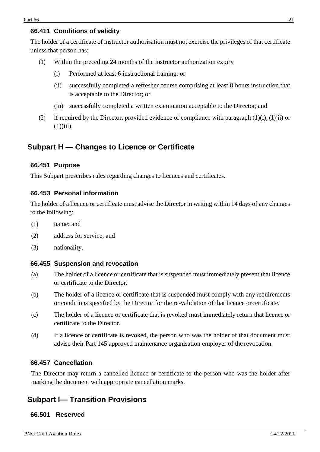# <span id="page-20-0"></span>**66.411 Conditions of validity**

The holder of a certificate of instructor authorisation must not exercise the privileges of that certificate unless that person has;

- (1) Within the preceding 24 months of the instructor authorization expiry
	- (i) Performed at least 6 instructional training; or
	- (ii) successfully completed a refresher course comprising at least 8 hours instruction that is acceptable to the Director; or
	- (iii) successfully completed a written examination acceptable to the Director; and
- (2) if required by the Director, provided evidence of compliance with paragraph  $(1)(i)$ ,  $(1)(ii)$  or  $(1)(iii)$ .

# <span id="page-20-2"></span><span id="page-20-1"></span>**Subpart H — Changes to Licence or Certificate**

#### **66.451 Purpose**

This Subpart prescribes rules regarding changes to licences and certificates.

#### <span id="page-20-3"></span>**66.453 Personal information**

The holder of a licence or certificate must advise the Director in writing within 14 days of any changes to the following:

- (1) name; and
- (2) address for service; and
- (3) nationality.

#### <span id="page-20-4"></span>**66.455 Suspension and revocation**

- (a) The holder of a licence or certificate that is suspended must immediately present that licence or certificate to the Director.
- (b) The holder of a licence or certificate that is suspended must comply with any requirements or conditions specified by the Director for the re-validation of that licence orcertificate.
- (c) The holder of a licence or certificate that is revoked must immediately return that licence or certificate to the Director.
- (d) If a licence or certificate is revoked, the person who was the holder of that document must advise their Part 145 approved maintenance organisation employer of the revocation.

#### <span id="page-20-5"></span>**66.457 Cancellation**

The Director may return a cancelled licence or certificate to the person who was the holder after marking the document with appropriate cancellation marks.

# <span id="page-20-6"></span>**Subpart I— Transition Provisions**

#### <span id="page-20-7"></span>**66.501 Reserved**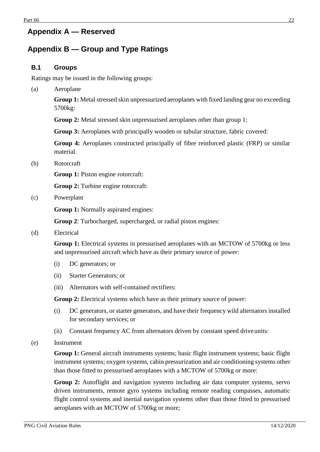# <span id="page-21-0"></span>**Appendix A — Reserved**

# <span id="page-21-1"></span>**Appendix B — Group and Type Ratings**

## <span id="page-21-2"></span>**B.1 Groups**

Ratings may be issued in the following groups:

(a) Aeroplane

**Group 1:** Metal stressed skin unpressurized aeroplanes with fixed landing gear no exceeding 5700kg:

**Group 2:** Metal stressed skin unpressurised aeroplanes other than group 1:

**Group 3:** Aeroplanes with principally wooden or tubular structure, fabric covered:

**Group 4:** Aeroplanes constructed principally of fibre reinforced plastic (FRP) or similar material.

(b) Rotorcraft

**Group 1:** Piston engine rotorcraft:

**Group 2:** Turbine engine rotorcraft:

(c) Powerplant

**Group 1:** Normally aspirated engines:

**Group 2**: Turbocharged, supercharged, or radial piston engines:

(d) Electrical

**Group 1:** Electrical systems in pressurised aeroplanes with an MCTOW of 5700kg or less and unpressurised aircraft which have as their primary source of power:

- (i) DC generators; or
- (ii) Starter Generators; or
- (iii) Alternators with self-contained rectifiers:

**Group 2:** Electrical systems which have as their primary source of power:

- (i) DC generators, or starter generators, and have their frequency wild alternators installed for secondary services; or
- (ii) Constant frequency AC from alternators driven by constant speed drive units:
- (e) Instrument

**Group 1:** General aircraft instruments systems; basic flight instrument systems; basic flight instrument systems; oxygen systems, cabin pressurization and air conditioning systems other than those fitted to pressurised aeroplanes with a MCTOW of 5700kg or more:

**Group 2:** Autoflight and navigation systems including air data computer systems, servo driven instruments, remote gyro systems including remote reading compasses, automatic flight control systems and inertial navigation systems other than those fitted to pressurised aeroplanes with an MCTOW of 5700kg or more;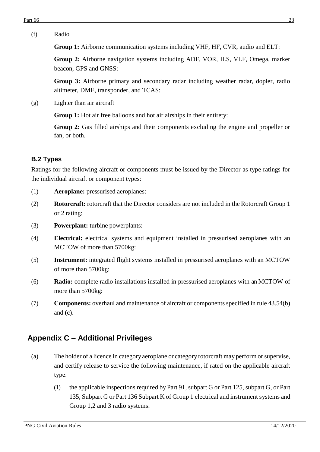**Group 1:** Airborne communication systems including VHF, HF, CVR, audio and ELT:

**Group 2:** Airborne navigation systems including ADF, VOR, ILS, VLF, Omega, marker beacon, GPS and GNSS:

**Group 3:** Airborne primary and secondary radar including weather radar, dopler, radio altimeter, DME, transponder, and TCAS:

(g) Lighter than air aircraft

**Group 1:** Hot air free balloons and hot air airships in their entirety:

**Group 2:** Gas filled airships and their components excluding the engine and propeller or fan, or both.

# <span id="page-22-0"></span>**B.2 Types**

Ratings for the following aircraft or components must be issued by the Director as type ratings for the individual aircraft or component types:

- (1) **Aeroplane:** pressurised aeroplanes:
- (2) **Rotorcraft:** rotorcraft that the Director considers are not included in the Rotorcraft Group 1 or 2 rating:
- (3) **Powerplant:** turbine powerplants:
- (4) **Electrical:** electrical systems and equipment installed in pressurised aeroplanes with an MCTOW of more than 5700kg:
- (5) **Instrument:** integrated flight systems installed in pressurised aeroplanes with an MCTOW of more than 5700kg:
- (6) **Radio:** complete radio installations installed in pressurised aeroplanes with an MCTOW of more than 5700kg:
- (7) **Components:** overhaul and maintenance of aircraft or components specified in rule 43.54(b) and (c).

# <span id="page-22-1"></span>**Appendix C – Additional Privileges**

- (a) The holder of a licence in category aeroplane or category rotorcraft may perform or supervise, and certify release to service the following maintenance, if rated on the applicable aircraft type:
	- (1) the applicable inspections required by Part 91, subpart G or Part 125, subpart G, or Part 135, Subpart G or Part 136 Subpart K of Group 1 electrical and instrument systems and Group 1,2 and 3 radio systems: